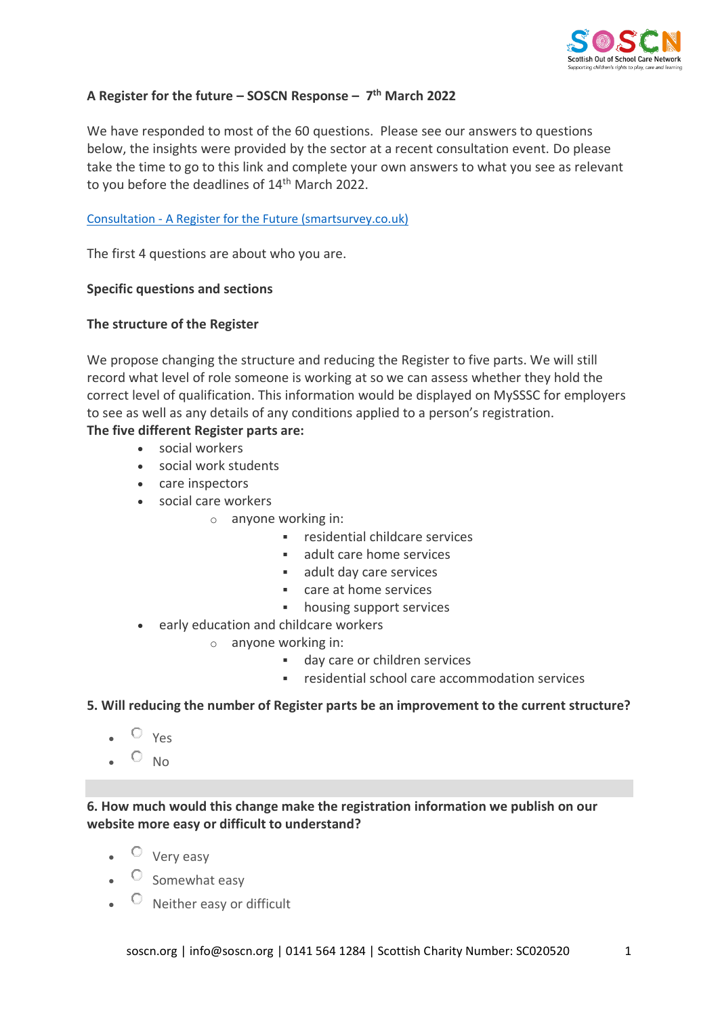

# **A Register for the future – SOSCN Response – 7 th March 2022**

We have responded to most of the 60 questions. Please see our answers to questions below, the insights were provided by the sector at a recent consultation event. Do please take the time to go to this link and complete your own answers to what you see as relevant to you before the deadlines of 14<sup>th</sup> March 2022.

## Consultation - [A Register for the Future \(smartsurvey.co.uk\)](https://www.smartsurvey.co.uk/s/futureregister/)

The first 4 questions are about who you are.

## **Specific questions and sections**

## **The structure of the Register**

We propose changing the structure and reducing the Register to five parts. We will still record what level of role someone is working at so we can assess whether they hold the correct level of qualification. This information would be displayed on MySSSC for employers to see as well as any details of any conditions applied to a person's registration.

## **The five different Register parts are:**

- social workers
- social work students
- care inspectors
- social care workers
	- o anyone working in:
		- residential childcare services
		- adult care home services
		- adult day care services
		- care at home services
		- housing support services
- early education and childcare workers
	- o anyone working in:
		- day care or children services
		- residential school care accommodation services

### **5. Will reducing the number of Register parts be an improvement to the current structure?**

- $\circ$  Yes
- $O_{NO}$

**6. How much would this change make the registration information we publish on our website more easy or difficult to understand?**

- $\bullet$   $\circ$  Very easy
- $\bullet$  Somewhat easy
- $\bullet$   $\circ$  Neither easy or difficult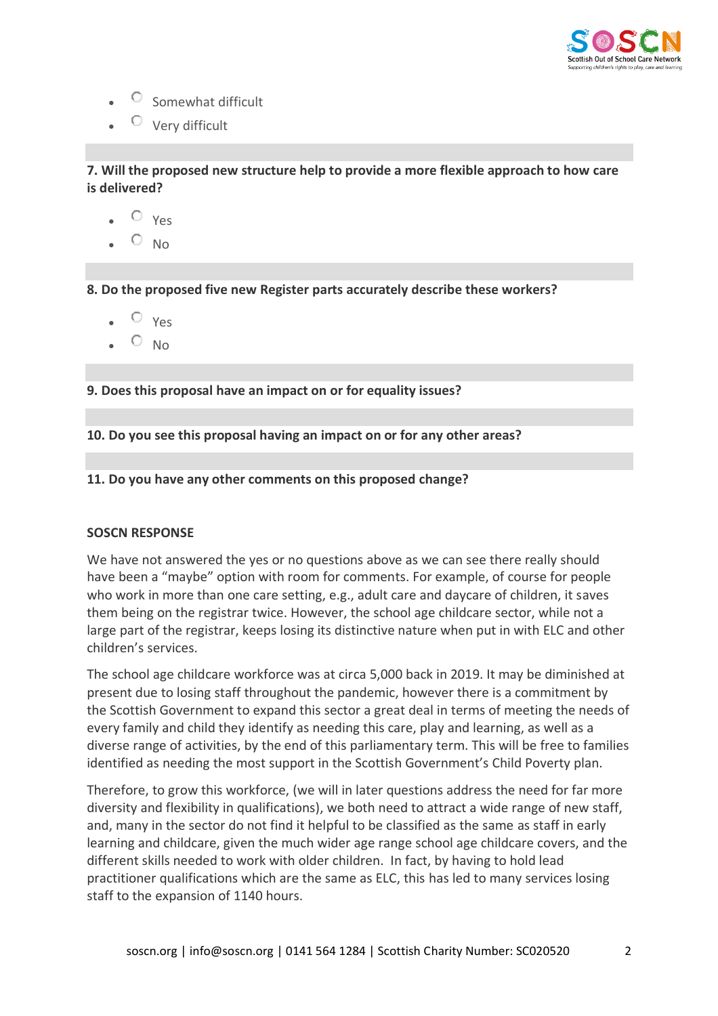

- $\circ$  Somewhat difficult
- $\overline{\mathcal{O}}$  Very difficult

**7. Will the proposed new structure help to provide a more flexible approach to how care is delivered?**

- $\sim$   $\degree$  Yes
- $O_{NO}$

**8. Do the proposed five new Register parts accurately describe these workers?**

- $O_{Yes}$
- $O_{NO}$

**9. Does this proposal have an impact on or for equality issues?**

**10. Do you see this proposal having an impact on or for any other areas?**

## **11. Do you have any other comments on this proposed change?**

### **SOSCN RESPONSE**

We have not answered the yes or no questions above as we can see there really should have been a "maybe" option with room for comments. For example, of course for people who work in more than one care setting, e.g., adult care and daycare of children, it saves them being on the registrar twice. However, the school age childcare sector, while not a large part of the registrar, keeps losing its distinctive nature when put in with ELC and other children's services.

The school age childcare workforce was at circa 5,000 back in 2019. It may be diminished at present due to losing staff throughout the pandemic, however there is a commitment by the Scottish Government to expand this sector a great deal in terms of meeting the needs of every family and child they identify as needing this care, play and learning, as well as a diverse range of activities, by the end of this parliamentary term. This will be free to families identified as needing the most support in the Scottish Government's Child Poverty plan.

Therefore, to grow this workforce, (we will in later questions address the need for far more diversity and flexibility in qualifications), we both need to attract a wide range of new staff, and, many in the sector do not find it helpful to be classified as the same as staff in early learning and childcare, given the much wider age range school age childcare covers, and the different skills needed to work with older children. In fact, by having to hold lead practitioner qualifications which are the same as ELC, this has led to many services losing staff to the expansion of 1140 hours.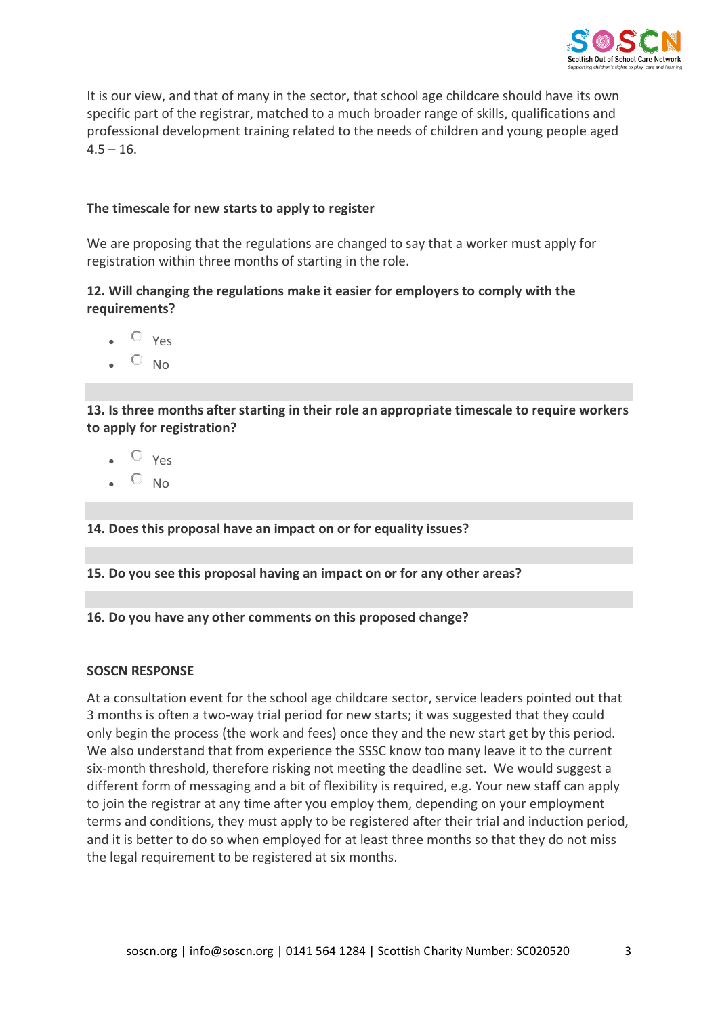

It is our view, and that of many in the sector, that school age childcare should have its own specific part of the registrar, matched to a much broader range of skills, qualifications and professional development training related to the needs of children and young people aged  $4.5 - 16.$ 

# **The timescale for new starts to apply to register**

We are proposing that the regulations are changed to say that a worker must apply for registration within three months of starting in the role.

# **12. Will changing the regulations make it easier for employers to comply with the requirements?**

- $\bullet$   $\circ$   $\vee$   $\circ$
- $\circ$  No

**13. Is three months after starting in their role an appropriate timescale to require workers to apply for registration?**

- $\bullet$   $\circ$   $\vee$ es
- $\circ$  No

**14. Does this proposal have an impact on or for equality issues?**

**15. Do you see this proposal having an impact on or for any other areas?**

**16. Do you have any other comments on this proposed change?**

### **SOSCN RESPONSE**

At a consultation event for the school age childcare sector, service leaders pointed out that 3 months is often a two-way trial period for new starts; it was suggested that they could only begin the process (the work and fees) once they and the new start get by this period. We also understand that from experience the SSSC know too many leave it to the current six-month threshold, therefore risking not meeting the deadline set. We would suggest a different form of messaging and a bit of flexibility is required, e.g. Your new staff can apply to join the registrar at any time after you employ them, depending on your employment terms and conditions, they must apply to be registered after their trial and induction period, and it is better to do so when employed for at least three months so that they do not miss the legal requirement to be registered at six months.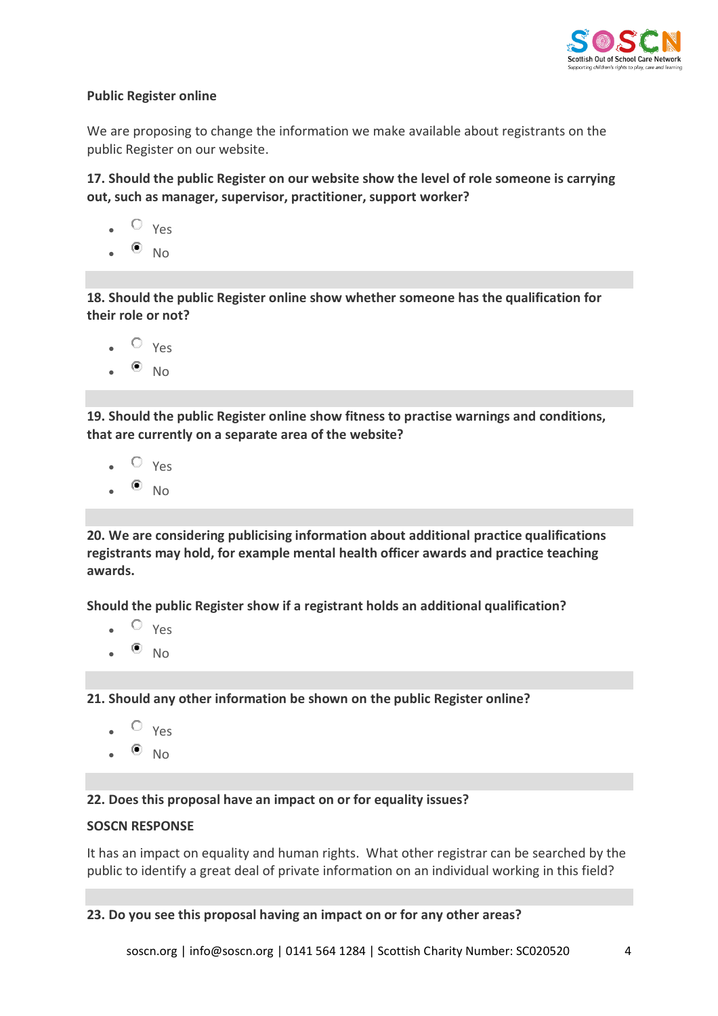

# **Public Register online**

We are proposing to change the information we make available about registrants on the public Register on our website.

**17. Should the public Register on our website show the level of role someone is carrying out, such as manager, supervisor, practitioner, support worker?**

- $O_{V_{\text{PS}}}$
- $\bullet$  No

**18. Should the public Register online show whether someone has the qualification for their role or not?**

- $O_{Y_{PS}}$
- $\bullet$  No

**19. Should the public Register online show fitness to practise warnings and conditions, that are currently on a separate area of the website?**

- $O_{VAS}$
- $\bullet$  No

**20. We are considering publicising information about additional practice qualifications registrants may hold, for example mental health officer awards and practice teaching awards.**

**Should the public Register show if a registrant holds an additional qualification?**

- $\bullet$   $\circ$   $\vee$   $\circ$
- $\bullet$  No

**21. Should any other information be shown on the public Register online?**

- $O_{Yes}$
- $\bullet$  No

**22. Does this proposal have an impact on or for equality issues?**

# **SOSCN RESPONSE**

It has an impact on equality and human rights. What other registrar can be searched by the public to identify a great deal of private information on an individual working in this field?

**23. Do you see this proposal having an impact on or for any other areas?**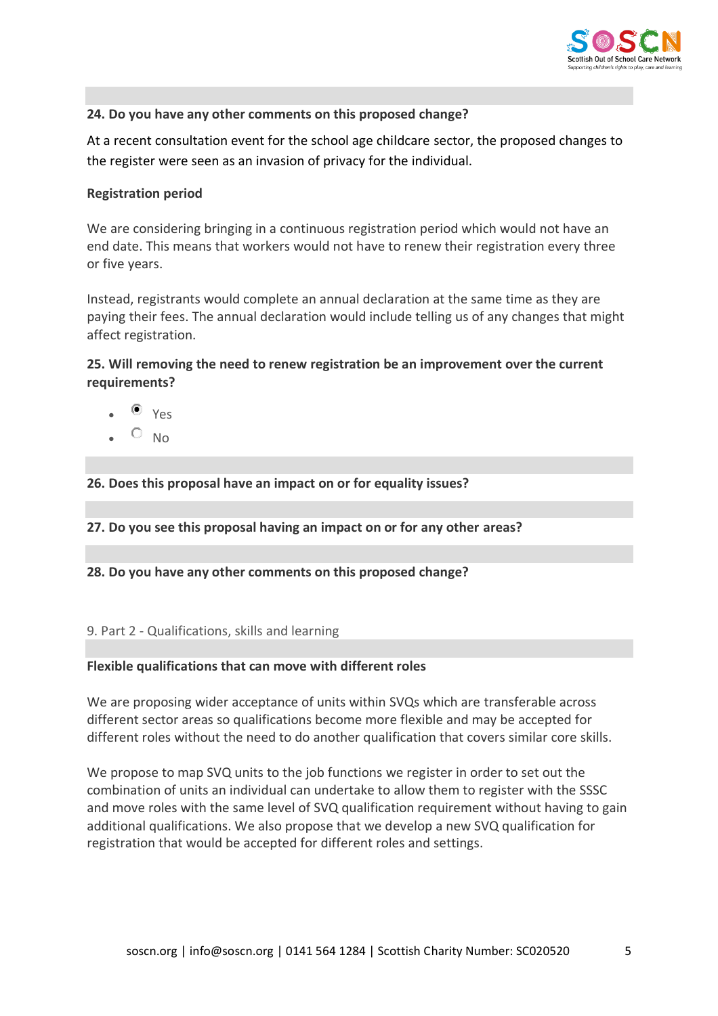

# **24. Do you have any other comments on this proposed change?**

At a recent consultation event for the school age childcare sector, the proposed changes to the register were seen as an invasion of privacy for the individual.

## **Registration period**

We are considering bringing in a continuous registration period which would not have an end date. This means that workers would not have to renew their registration every three or five years.

Instead, registrants would complete an annual declaration at the same time as they are paying their fees. The annual declaration would include telling us of any changes that might affect registration.

# **25. Will removing the need to renew registration be an improvement over the current requirements?**

- $V \rho_S$
- $\circ$  No

# **26. Does this proposal have an impact on or for equality issues?**

**27. Do you see this proposal having an impact on or for any other areas?**

**28. Do you have any other comments on this proposed change?**

### 9. Part 2 - Qualifications, skills and learning

### **Flexible qualifications that can move with different roles**

We are proposing wider acceptance of units within SVQs which are transferable across different sector areas so qualifications become more flexible and may be accepted for different roles without the need to do another qualification that covers similar core skills.

We propose to map SVQ units to the job functions we register in order to set out the combination of units an individual can undertake to allow them to register with the SSSC and move roles with the same level of SVQ qualification requirement without having to gain additional qualifications. We also propose that we develop a new SVQ qualification for registration that would be accepted for different roles and settings.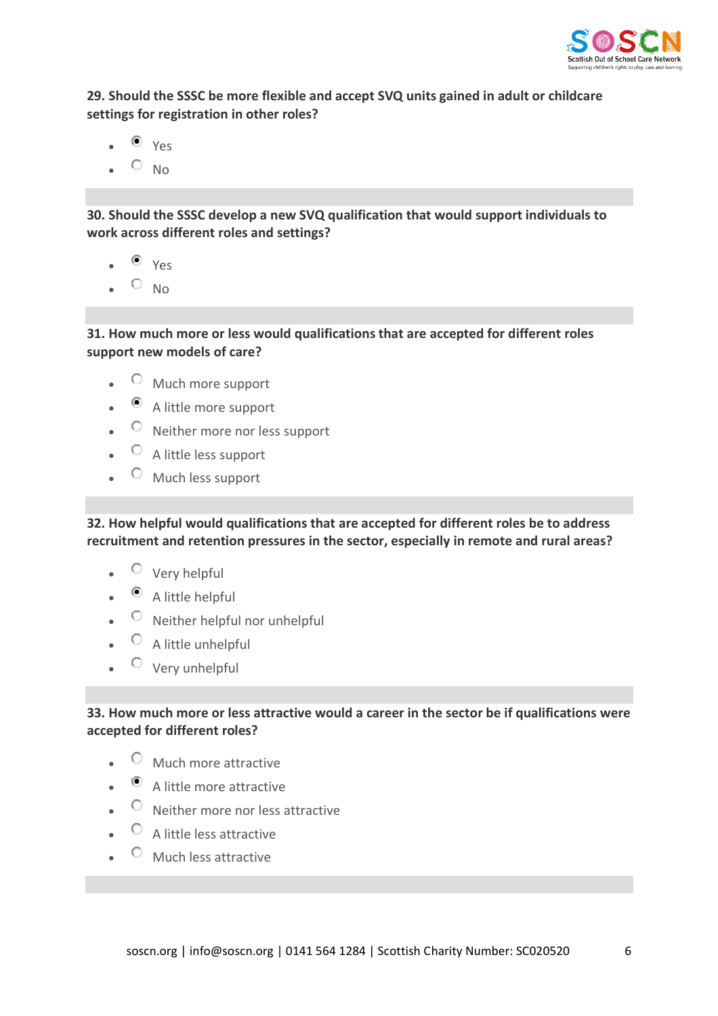

**29. Should the SSSC be more flexible and accept SVQ units gained in adult or childcare settings for registration in other roles?**

- $\bullet$  Yes
- $\bullet$   $\circ$  No

**30. Should the SSSC develop a new SVQ qualification that would support individuals to work across different roles and settings?**

- $\bullet$  Yes
- $O_{NO}$

**31. How much more or less would qualifications that are accepted for different roles support new models of care?**

- $\circledcirc$  Much more support
- $\bullet$  A little more support
- $\circ$  Neither more nor less support
- $\bullet$   $\circ$  A little less support
- $\circledcirc$  Much less support

**32. How helpful would qualifications that are accepted for different roles be to address recruitment and retention pressures in the sector, especially in remote and rural areas?**

- Very helpful
- $\bullet$   $\bullet$  A little helpful
- $\bullet$   $\circ$  Neither helpful nor unhelpful
- $\bullet$   $\circ$  A little unhelpful
- $\circ$  Very unhelpful

# **33. How much more or less attractive would a career in the sector be if qualifications were accepted for different roles?**

- $\circledcirc$  Much more attractive
- A little more attractive
- $\circ$  Neither more nor less attractive
- $\circ$  A little less attractive
- $\circledcirc$  Much less attractive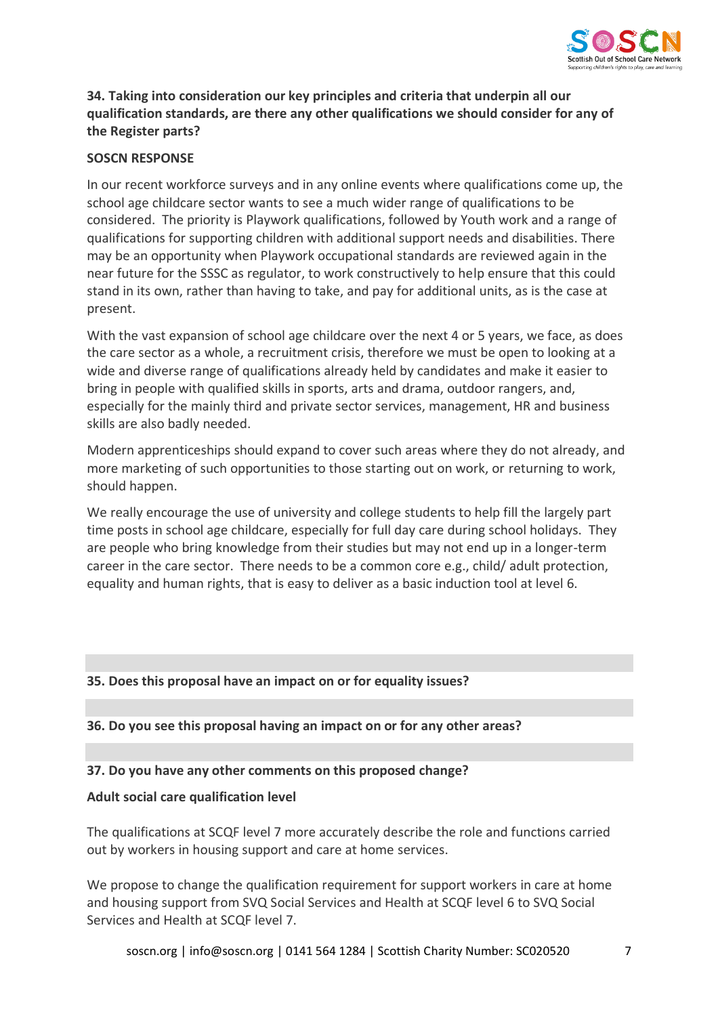

# **34. Taking into consideration our key principles and criteria that underpin all our qualification standards, are there any other qualifications we should consider for any of the Register parts?**

# **SOSCN RESPONSE**

In our recent workforce surveys and in any online events where qualifications come up, the school age childcare sector wants to see a much wider range of qualifications to be considered. The priority is Playwork qualifications, followed by Youth work and a range of qualifications for supporting children with additional support needs and disabilities. There may be an opportunity when Playwork occupational standards are reviewed again in the near future for the SSSC as regulator, to work constructively to help ensure that this could stand in its own, rather than having to take, and pay for additional units, as is the case at present.

With the vast expansion of school age childcare over the next 4 or 5 years, we face, as does the care sector as a whole, a recruitment crisis, therefore we must be open to looking at a wide and diverse range of qualifications already held by candidates and make it easier to bring in people with qualified skills in sports, arts and drama, outdoor rangers, and, especially for the mainly third and private sector services, management, HR and business skills are also badly needed.

Modern apprenticeships should expand to cover such areas where they do not already, and more marketing of such opportunities to those starting out on work, or returning to work, should happen.

We really encourage the use of university and college students to help fill the largely part time posts in school age childcare, especially for full day care during school holidays. They are people who bring knowledge from their studies but may not end up in a longer-term career in the care sector. There needs to be a common core e.g., child/ adult protection, equality and human rights, that is easy to deliver as a basic induction tool at level 6.

# **35. Does this proposal have an impact on or for equality issues?**

# **36. Do you see this proposal having an impact on or for any other areas?**

# **37. Do you have any other comments on this proposed change?**

### **Adult social care qualification level**

The qualifications at SCQF level 7 more accurately describe the role and functions carried out by workers in housing support and care at home services.

We propose to change the qualification requirement for support workers in care at home and housing support from SVQ Social Services and Health at SCQF level 6 to SVQ Social Services and Health at SCQF level 7.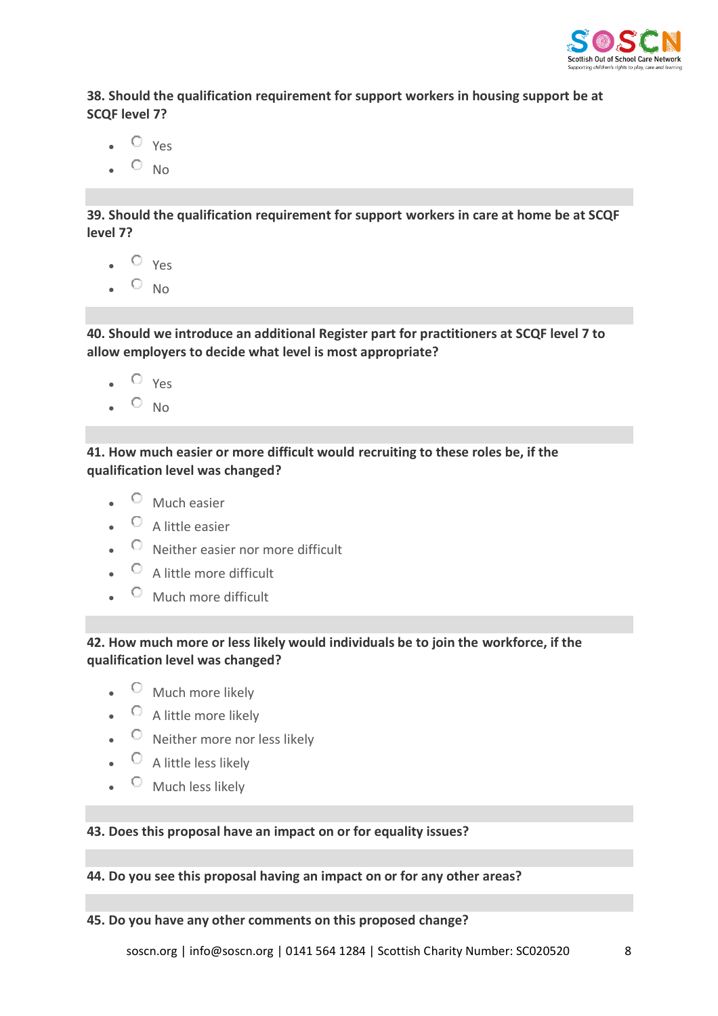

**38. Should the qualification requirement for support workers in housing support be at SCQF level 7?**

- $\circ$  Yes
- $\sim$  No

**39. Should the qualification requirement for support workers in care at home be at SCQF level 7?**

- $\bullet$   $\circ$   $\vee$   $\circ$
- $O_{NO}$

**40. Should we introduce an additional Register part for practitioners at SCQF level 7 to allow employers to decide what level is most appropriate?**

- $\bullet$   $\circ$   $\vee$ es
- $\bullet$  O No

**41. How much easier or more difficult would recruiting to these roles be, if the qualification level was changed?**

- $\bullet$  Much easier
- $\bullet$  A little easier
- $\bullet$  Neither easier nor more difficult
- $\circ$  A little more difficult
- $\circ$  Much more difficult

**42. How much more or less likely would individuals be to join the workforce, if the qualification level was changed?**

- $\bullet$   $\circ$  Much more likely
- $\bullet$   $\circ$  A little more likely
- $\circ$  Neither more nor less likely
- $\bullet$   $\circ$  A little less likely
- $\circ$  Much less likely

# **43. Does this proposal have an impact on or for equality issues?**

# **44. Do you see this proposal having an impact on or for any other areas?**

# **45. Do you have any other comments on this proposed change?**

soscn.org | [info@soscn.org](mailto:info@soscn.org) | 0141 564 1284 | Scottish Charity Number: SC020520 8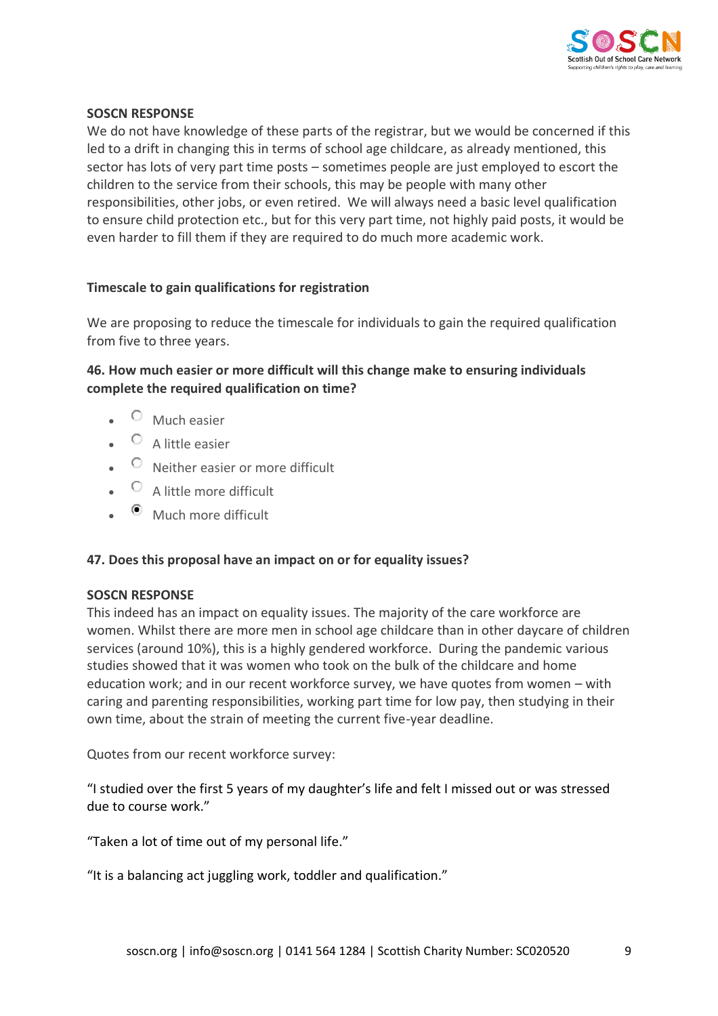

# **SOSCN RESPONSE**

We do not have knowledge of these parts of the registrar, but we would be concerned if this led to a drift in changing this in terms of school age childcare, as already mentioned, this sector has lots of very part time posts – sometimes people are just employed to escort the children to the service from their schools, this may be people with many other responsibilities, other jobs, or even retired. We will always need a basic level qualification to ensure child protection etc., but for this very part time, not highly paid posts, it would be even harder to fill them if they are required to do much more academic work.

# **Timescale to gain qualifications for registration**

We are proposing to reduce the timescale for individuals to gain the required qualification from five to three years.

# **46. How much easier or more difficult will this change make to ensuring individuals complete the required qualification on time?**

- $\bullet$  Much easier
- $\bullet$  A little easier
- $\circ$  Neither easier or more difficult
- $\circ$  A little more difficult
- $\bullet$  Much more difficult

# **47. Does this proposal have an impact on or for equality issues?**

# **SOSCN RESPONSE**

This indeed has an impact on equality issues. The majority of the care workforce are women. Whilst there are more men in school age childcare than in other daycare of children services (around 10%), this is a highly gendered workforce. During the pandemic various studies showed that it was women who took on the bulk of the childcare and home education work; and in our recent workforce survey, we have quotes from women – with caring and parenting responsibilities, working part time for low pay, then studying in their own time, about the strain of meeting the current five-year deadline.

Quotes from our recent workforce survey:

"I studied over the first 5 years of my daughter's life and felt I missed out or was stressed due to course work."

"Taken a lot of time out of my personal life."

"It is a balancing act juggling work, toddler and qualification."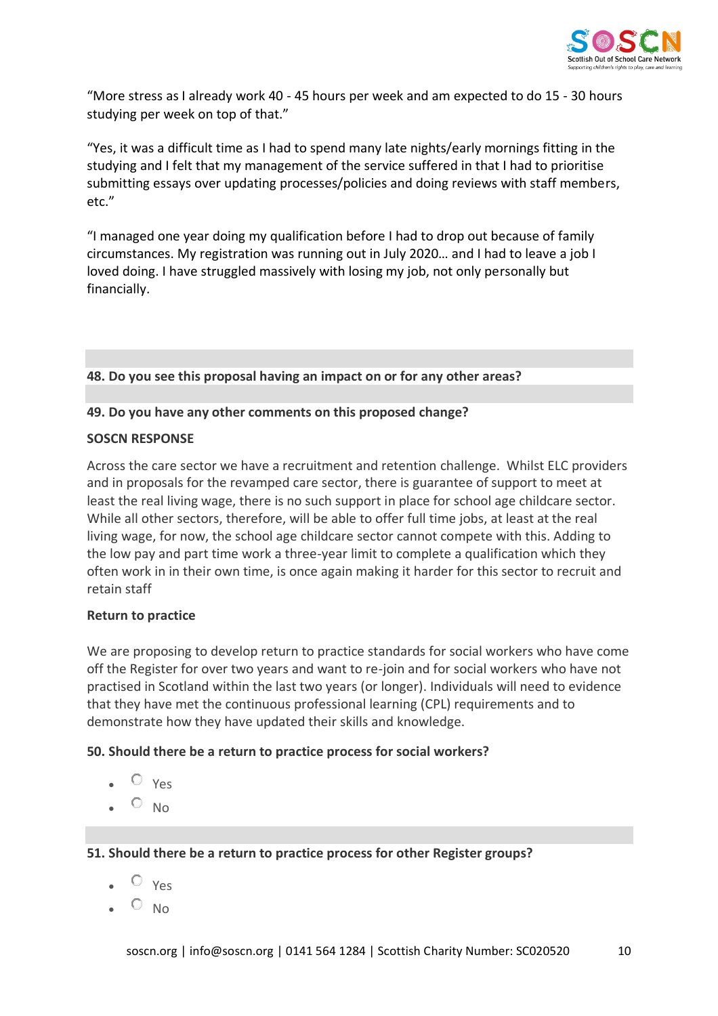

"More stress as I already work 40 - 45 hours per week and am expected to do 15 - 30 hours studying per week on top of that."

"Yes, it was a difficult time as I had to spend many late nights/early mornings fitting in the studying and I felt that my management of the service suffered in that I had to prioritise submitting essays over updating processes/policies and doing reviews with staff members, etc."

"I managed one year doing my qualification before I had to drop out because of family circumstances. My registration was running out in July 2020… and I had to leave a job I loved doing. I have struggled massively with losing my job, not only personally but financially.

**48. Do you see this proposal having an impact on or for any other areas?**

# **49. Do you have any other comments on this proposed change?**

### **SOSCN RESPONSE**

Across the care sector we have a recruitment and retention challenge. Whilst ELC providers and in proposals for the revamped care sector, there is guarantee of support to meet at least the real living wage, there is no such support in place for school age childcare sector. While all other sectors, therefore, will be able to offer full time jobs, at least at the real living wage, for now, the school age childcare sector cannot compete with this. Adding to the low pay and part time work a three-year limit to complete a qualification which they often work in in their own time, is once again making it harder for this sector to recruit and retain staff

# **Return to practice**

We are proposing to develop return to practice standards for social workers who have come off the Register for over two years and want to re-join and for social workers who have not practised in Scotland within the last two years (or longer). Individuals will need to evidence that they have met the continuous professional learning (CPL) requirements and to demonstrate how they have updated their skills and knowledge.

# **50. Should there be a return to practice process for social workers?**

- $O_{Yes}$
- $\circ$  No

# **51. Should there be a return to practice process for other Register groups?**

- $O$  Yes
- $\circ$  No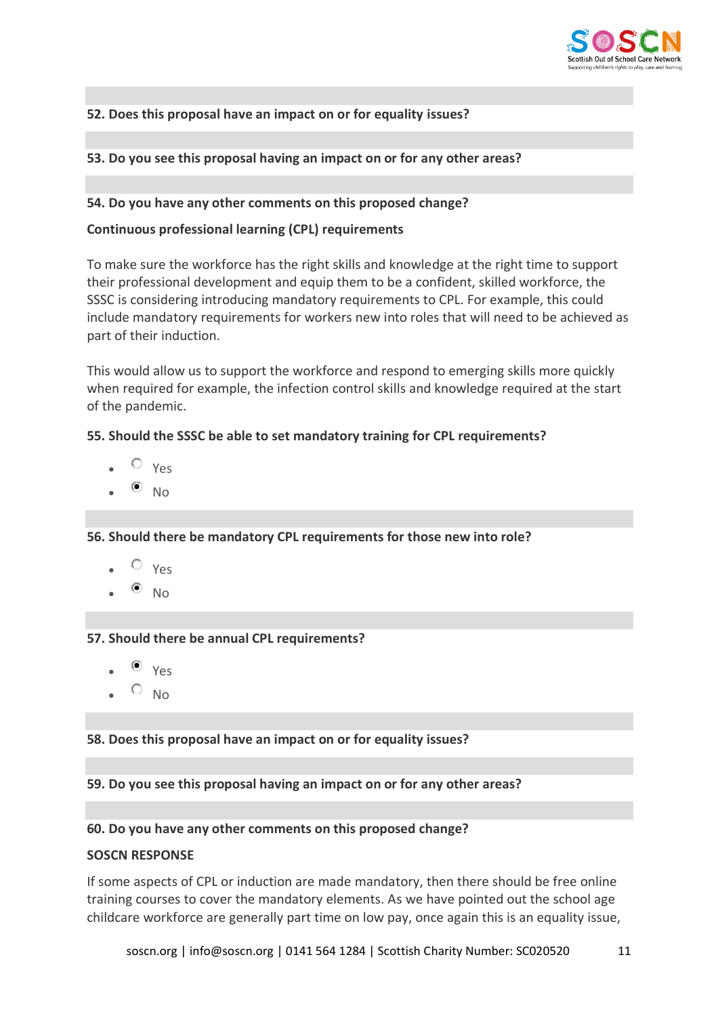

# **52. Does this proposal have an impact on or for equality issues?**

# **53. Do you see this proposal having an impact on or for any other areas?**

## **54. Do you have any other comments on this proposed change?**

## **Continuous professional learning (CPL) requirements**

To make sure the workforce has the right skills and knowledge at the right time to support their professional development and equip them to be a confident, skilled workforce, the SSSC is considering introducing mandatory requirements to CPL. For example, this could include mandatory requirements for workers new into roles that will need to be achieved as part of their induction.

This would allow us to support the workforce and respond to emerging skills more quickly when required for example, the infection control skills and knowledge required at the start of the pandemic.

## **55. Should the SSSC be able to set mandatory training for CPL requirements?**

- $O$  Yes
- $\bullet$  No

**56. Should there be mandatory CPL requirements for those new into role?**

- $\circ$  Yes
- $\bullet$  No

### **57. Should there be annual CPL requirements?**

- $\bullet$   $V_{\text{PS}}$
- $O_{NO}$

### **58. Does this proposal have an impact on or for equality issues?**

**59. Do you see this proposal having an impact on or for any other areas?**

## **60. Do you have any other comments on this proposed change?**

### **SOSCN RESPONSE**

If some aspects of CPL or induction are made mandatory, then there should be free online training courses to cover the mandatory elements. As we have pointed out the school age childcare workforce are generally part time on low pay, once again this is an equality issue,